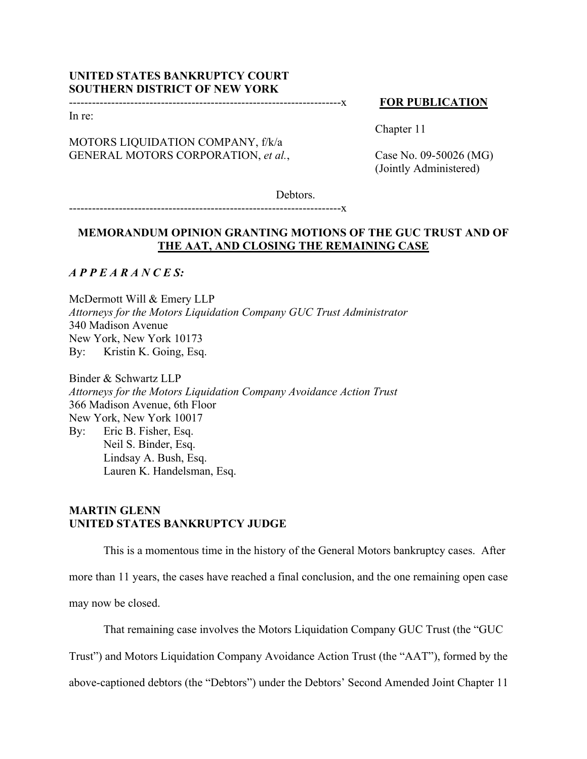# **UNITED STATES BANKRUPTCY COURT SOUTHERN DISTRICT OF NEW YORK**

#### **FOR PUBLICATION**

In re:

MOTORS LIQUIDATION COMPANY, f/k/a GENERAL MOTORS CORPORATION, *et al.*, Chapter 11

Case No. 09-50026 (MG) (Jointly Administered)

Debtors.

-----------------------------------------------------------------------x

-----------------------------------------------------------------------x

# **MEMORANDUM OPINION GRANTING MOTIONS OF THE GUC TRUST AND OF THE AAT, AND CLOSING THE REMAINING CASE**

*A P P E A R A N C E S:*

McDermott Will & Emery LLP *Attorneys for the Motors Liquidation Company GUC Trust Administrator*  340 Madison Avenue New York, New York 10173 By: Kristin K. Going, Esq.

Binder & Schwartz LLP *Attorneys for the Motors Liquidation Company Avoidance Action Trust*  366 Madison Avenue, 6th Floor New York, New York 10017 By: Eric B. Fisher, Esq. Neil S. Binder, Esq. Lindsay A. Bush, Esq. Lauren K. Handelsman, Esq.

# **MARTIN GLENN UNITED STATES BANKRUPTCY JUDGE**

This is a momentous time in the history of the General Motors bankruptcy cases. After more than 11 years, the cases have reached a final conclusion, and the one remaining open case may now be closed.

That remaining case involves the Motors Liquidation Company GUC Trust (the "GUC

Trust") and Motors Liquidation Company Avoidance Action Trust (the "AAT"), formed by the

above-captioned debtors (the "Debtors") under the Debtors' Second Amended Joint Chapter 11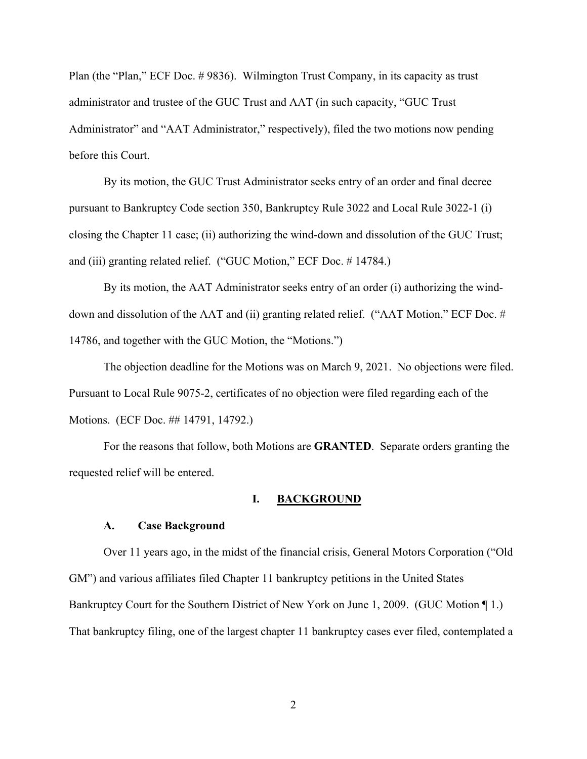Plan (the "Plan," ECF Doc. # 9836). Wilmington Trust Company, in its capacity as trust administrator and trustee of the GUC Trust and AAT (in such capacity, "GUC Trust Administrator" and "AAT Administrator," respectively), filed the two motions now pending before this Court.

By its motion, the GUC Trust Administrator seeks entry of an order and final decree pursuant to Bankruptcy Code section 350, Bankruptcy Rule 3022 and Local Rule 3022-1 (i) closing the Chapter 11 case; (ii) authorizing the wind-down and dissolution of the GUC Trust; and (iii) granting related relief. ("GUC Motion," ECF Doc. # 14784.)

By its motion, the AAT Administrator seeks entry of an order (i) authorizing the winddown and dissolution of the AAT and (ii) granting related relief. ("AAT Motion," ECF Doc. # 14786, and together with the GUC Motion, the "Motions.")

The objection deadline for the Motions was on March 9, 2021. No objections were filed. Pursuant to Local Rule 9075-2, certificates of no objection were filed regarding each of the Motions. (ECF Doc. ## 14791, 14792.)

For the reasons that follow, both Motions are **GRANTED**. Separate orders granting the requested relief will be entered.

### **I. BACKGROUND**

#### **A. Case Background**

Over 11 years ago, in the midst of the financial crisis, General Motors Corporation ("Old GM") and various affiliates filed Chapter 11 bankruptcy petitions in the United States Bankruptcy Court for the Southern District of New York on June 1, 2009. (GUC Motion ¶ 1.) That bankruptcy filing, one of the largest chapter 11 bankruptcy cases ever filed, contemplated a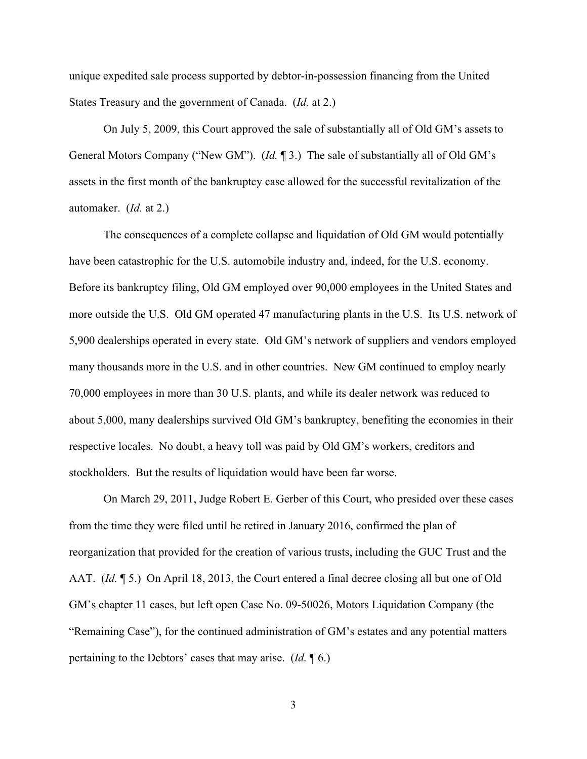unique expedited sale process supported by debtor-in-possession financing from the United States Treasury and the government of Canada. (*Id.* at 2.)

On July 5, 2009, this Court approved the sale of substantially all of Old GM's assets to General Motors Company ("New GM"). (*Id.* ¶ 3.) The sale of substantially all of Old GM's assets in the first month of the bankruptcy case allowed for the successful revitalization of the automaker. (*Id.* at 2.)

The consequences of a complete collapse and liquidation of Old GM would potentially have been catastrophic for the U.S. automobile industry and, indeed, for the U.S. economy. Before its bankruptcy filing, Old GM employed over 90,000 employees in the United States and more outside the U.S. Old GM operated 47 manufacturing plants in the U.S. Its U.S. network of 5,900 dealerships operated in every state. Old GM's network of suppliers and vendors employed many thousands more in the U.S. and in other countries. New GM continued to employ nearly 70,000 employees in more than 30 U.S. plants, and while its dealer network was reduced to about 5,000, many dealerships survived Old GM's bankruptcy, benefiting the economies in their respective locales. No doubt, a heavy toll was paid by Old GM's workers, creditors and stockholders. But the results of liquidation would have been far worse.

On March 29, 2011, Judge Robert E. Gerber of this Court, who presided over these cases from the time they were filed until he retired in January 2016, confirmed the plan of reorganization that provided for the creation of various trusts, including the GUC Trust and the AAT. *(Id.* 15.) On April 18, 2013, the Court entered a final decree closing all but one of Old GM's chapter 11 cases, but left open Case No. 09-50026, Motors Liquidation Company (the "Remaining Case"), for the continued administration of GM's estates and any potential matters pertaining to the Debtors' cases that may arise. (*Id.* ¶ 6.)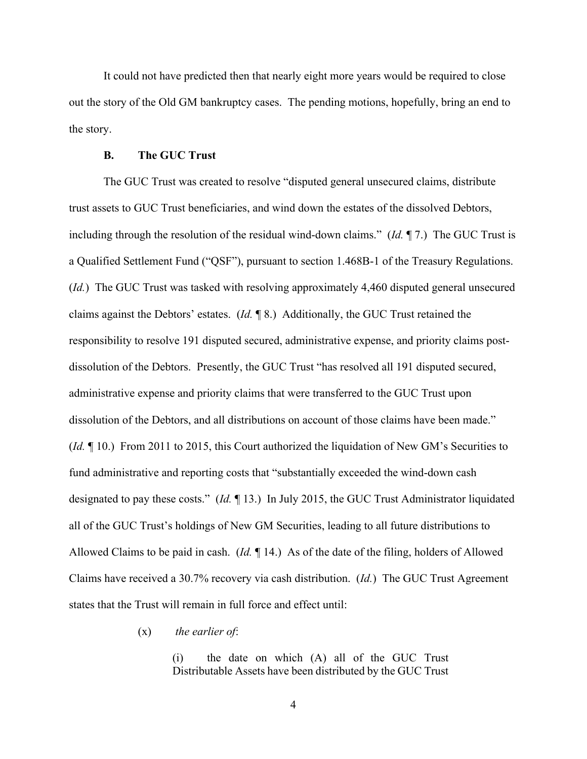It could not have predicted then that nearly eight more years would be required to close out the story of the Old GM bankruptcy cases. The pending motions, hopefully, bring an end to the story.

### **B. The GUC Trust**

The GUC Trust was created to resolve "disputed general unsecured claims, distribute trust assets to GUC Trust beneficiaries, and wind down the estates of the dissolved Debtors, including through the resolution of the residual wind-down claims." (*Id.* ¶ 7.) The GUC Trust is a Qualified Settlement Fund ("QSF"), pursuant to section 1.468B-1 of the Treasury Regulations. (*Id.*) The GUC Trust was tasked with resolving approximately 4,460 disputed general unsecured claims against the Debtors' estates. (*Id.* ¶ 8.) Additionally, the GUC Trust retained the responsibility to resolve 191 disputed secured, administrative expense, and priority claims postdissolution of the Debtors. Presently, the GUC Trust "has resolved all 191 disputed secured, administrative expense and priority claims that were transferred to the GUC Trust upon dissolution of the Debtors, and all distributions on account of those claims have been made." (*Id.* ¶ 10.) From 2011 to 2015, this Court authorized the liquidation of New GM's Securities to fund administrative and reporting costs that "substantially exceeded the wind-down cash designated to pay these costs." (*Id.* ¶ 13.) In July 2015, the GUC Trust Administrator liquidated all of the GUC Trust's holdings of New GM Securities, leading to all future distributions to Allowed Claims to be paid in cash. (*Id.* ¶ 14.) As of the date of the filing, holders of Allowed Claims have received a 30.7% recovery via cash distribution. (*Id.*) The GUC Trust Agreement states that the Trust will remain in full force and effect until:

(x) *the earlier of*:

(i) the date on which (A) all of the GUC Trust Distributable Assets have been distributed by the GUC Trust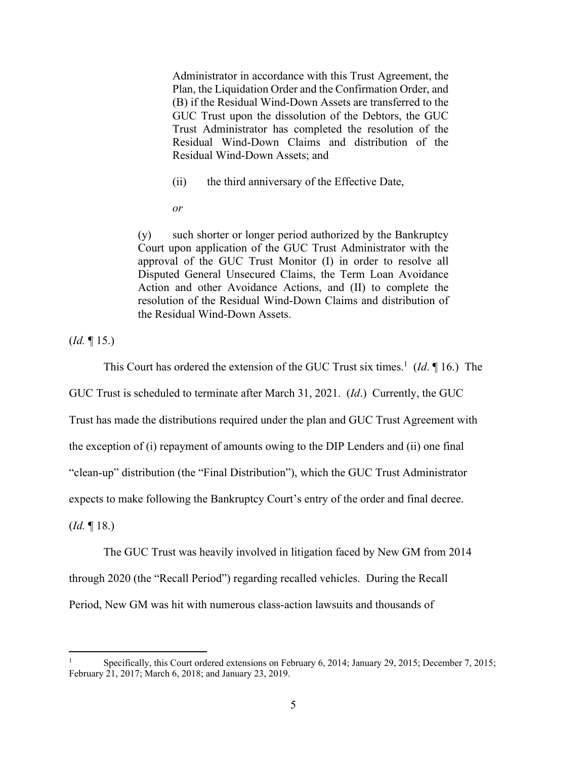Administrator in accordance with this Trust Agreement, the Plan, the Liquidation Order and the Confirmation Order, and (B) if the Residual Wind-Down Assets are transferred to the GUC Trust upon the dissolution of the Debtors, the GUC Trust Administrator has completed the resolution of the Residual Wind-Down Claims and distribution of the Residual Wind-Down Assets; and

(ii) the third anniversary of the Effective Date,

*or* 

(y) such shorter or longer period authorized by the Bankruptcy Court upon application of the GUC Trust Administrator with the approval of the GUC Trust Monitor (I) in order to resolve all Disputed General Unsecured Claims, the Term Loan Avoidance Action and other Avoidance Actions, and (II) to complete the resolution of the Residual Wind-Down Claims and distribution of the Residual Wind-Down Assets.

(*Id.* ¶ 15.)

This Court has ordered the extension of the GUC Trust six times.<sup>1</sup> (*Id*. 16.) The

GUC Trust is scheduled to terminate after March 31, 2021. (*Id*.) Currently, the GUC

Trust has made the distributions required under the plan and GUC Trust Agreement with

the exception of (i) repayment of amounts owing to the DIP Lenders and (ii) one final

"clean-up" distribution (the "Final Distribution"), which the GUC Trust Administrator

expects to make following the Bankruptcy Court's entry of the order and final decree.

(*Id.* ¶ 18.)

The GUC Trust was heavily involved in litigation faced by New GM from 2014

through 2020 (the "Recall Period") regarding recalled vehicles. During the Recall

Period, New GM was hit with numerous class-action lawsuits and thousands of

<sup>1</sup> Specifically, this Court ordered extensions on February 6, 2014; January 29, 2015; December 7, 2015; February 21, 2017; March 6, 2018; and January 23, 2019.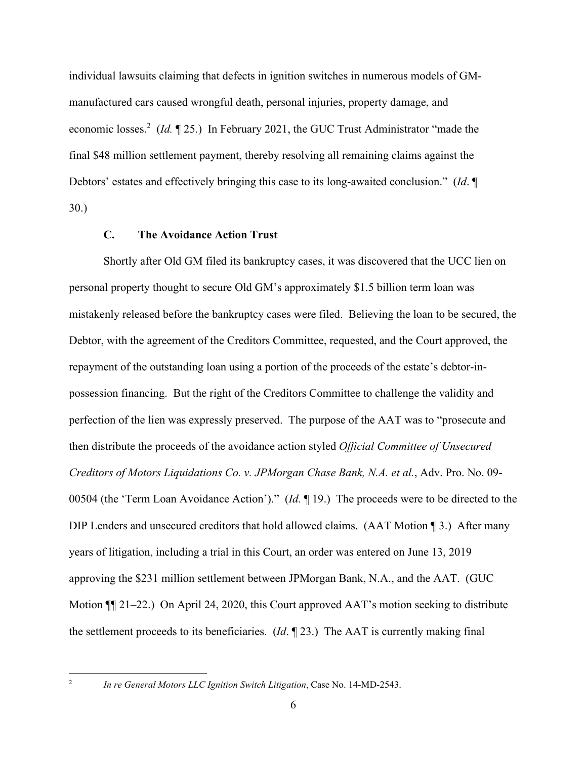individual lawsuits claiming that defects in ignition switches in numerous models of GMmanufactured cars caused wrongful death, personal injuries, property damage, and economic losses.<sup>2</sup> (*Id.* 125.) In February 2021, the GUC Trust Administrator "made the final \$48 million settlement payment, thereby resolving all remaining claims against the Debtors' estates and effectively bringing this case to its long-awaited conclusion." (*Id*. ¶ 30.)

### **C. The Avoidance Action Trust**

Shortly after Old GM filed its bankruptcy cases, it was discovered that the UCC lien on personal property thought to secure Old GM's approximately \$1.5 billion term loan was mistakenly released before the bankruptcy cases were filed. Believing the loan to be secured, the Debtor, with the agreement of the Creditors Committee, requested, and the Court approved, the repayment of the outstanding loan using a portion of the proceeds of the estate's debtor-inpossession financing. But the right of the Creditors Committee to challenge the validity and perfection of the lien was expressly preserved. The purpose of the AAT was to "prosecute and then distribute the proceeds of the avoidance action styled *Official Committee of Unsecured Creditors of Motors Liquidations Co. v. JPMorgan Chase Bank, N.A. et al.*, Adv. Pro. No. 09- 00504 (the 'Term Loan Avoidance Action')." (*Id.* ¶ 19.) The proceeds were to be directed to the DIP Lenders and unsecured creditors that hold allowed claims. (AAT Motion ¶ 3.) After many years of litigation, including a trial in this Court, an order was entered on June 13, 2019 approving the \$231 million settlement between JPMorgan Bank, N.A., and the AAT. (GUC Motion ¶¶ 21–22.) On April 24, 2020, this Court approved AAT's motion seeking to distribute the settlement proceeds to its beneficiaries. (*Id*. ¶ 23.) The AAT is currently making final

*In re General Motors LLC Ignition Switch Litigation*, Case No. 14-MD-2543.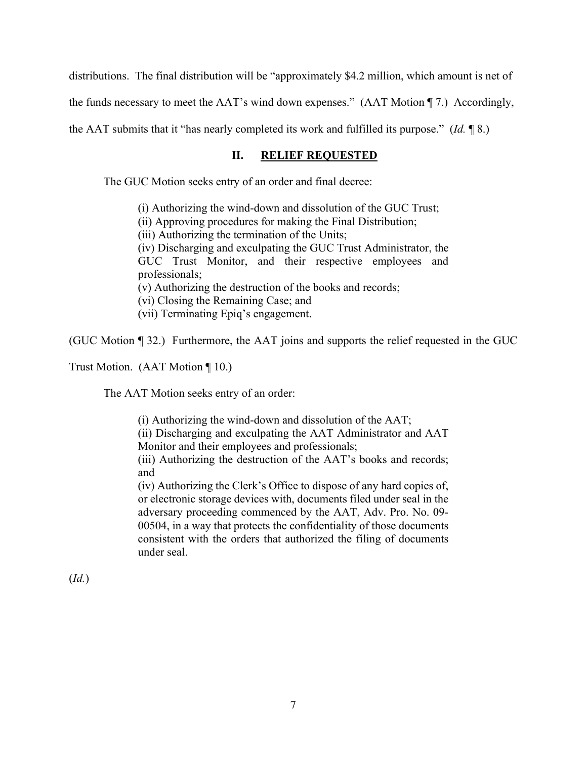distributions. The final distribution will be "approximately \$4.2 million, which amount is net of the funds necessary to meet the AAT's wind down expenses." (AAT Motion ¶ 7.) Accordingly, the AAT submits that it "has nearly completed its work and fulfilled its purpose." (*Id.* ¶ 8.)

# **II. RELIEF REQUESTED**

The GUC Motion seeks entry of an order and final decree:

(i) Authorizing the wind-down and dissolution of the GUC Trust; (ii) Approving procedures for making the Final Distribution; (iii) Authorizing the termination of the Units; (iv) Discharging and exculpating the GUC Trust Administrator, the GUC Trust Monitor, and their respective employees and professionals; (v) Authorizing the destruction of the books and records; (vi) Closing the Remaining Case; and (vii) Terminating Epiq's engagement.

(GUC Motion ¶ 32.) Furthermore, the AAT joins and supports the relief requested in the GUC

Trust Motion. (AAT Motion ¶ 10.)

The AAT Motion seeks entry of an order:

(i) Authorizing the wind-down and dissolution of the AAT;

(ii) Discharging and exculpating the AAT Administrator and AAT Monitor and their employees and professionals;

(iii) Authorizing the destruction of the AAT's books and records; and

(iv) Authorizing the Clerk's Office to dispose of any hard copies of, or electronic storage devices with, documents filed under seal in the adversary proceeding commenced by the AAT, Adv. Pro. No. 09- 00504, in a way that protects the confidentiality of those documents consistent with the orders that authorized the filing of documents under seal.

(*Id.*)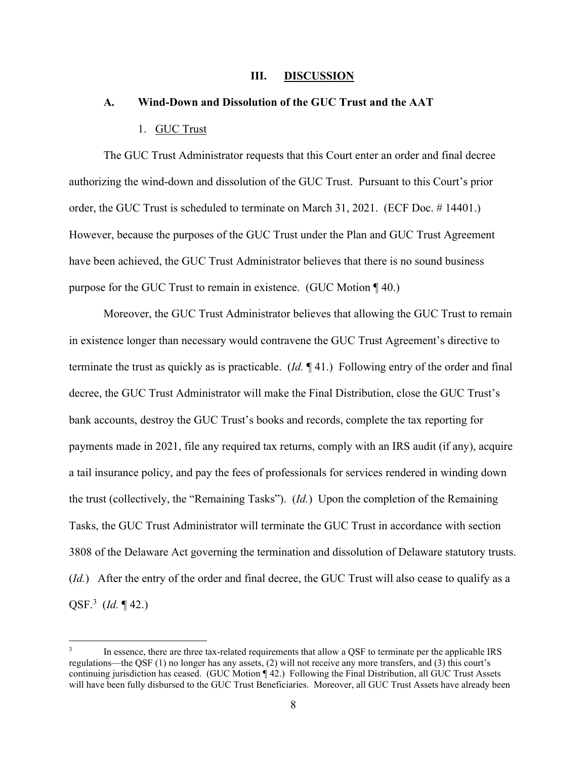#### **III. DISCUSSION**

#### **A. Wind-Down and Dissolution of the GUC Trust and the AAT**

#### 1. GUC Trust

The GUC Trust Administrator requests that this Court enter an order and final decree authorizing the wind-down and dissolution of the GUC Trust. Pursuant to this Court's prior order, the GUC Trust is scheduled to terminate on March 31, 2021. (ECF Doc. # 14401.) However, because the purposes of the GUC Trust under the Plan and GUC Trust Agreement have been achieved, the GUC Trust Administrator believes that there is no sound business purpose for the GUC Trust to remain in existence. (GUC Motion ¶ 40.)

Moreover, the GUC Trust Administrator believes that allowing the GUC Trust to remain in existence longer than necessary would contravene the GUC Trust Agreement's directive to terminate the trust as quickly as is practicable. (*Id.* ¶ 41.) Following entry of the order and final decree, the GUC Trust Administrator will make the Final Distribution, close the GUC Trust's bank accounts, destroy the GUC Trust's books and records, complete the tax reporting for payments made in 2021, file any required tax returns, comply with an IRS audit (if any), acquire a tail insurance policy, and pay the fees of professionals for services rendered in winding down the trust (collectively, the "Remaining Tasks"). (*Id.*) Upon the completion of the Remaining Tasks, the GUC Trust Administrator will terminate the GUC Trust in accordance with section 3808 of the Delaware Act governing the termination and dissolution of Delaware statutory trusts. (*Id.*) After the entry of the order and final decree, the GUC Trust will also cease to qualify as a QSF.<sup>3</sup> (*Id.* ¶ 42.)

<sup>3</sup> In essence, there are three tax-related requirements that allow a QSF to terminate per the applicable IRS regulations—the QSF (1) no longer has any assets, (2) will not receive any more transfers, and (3) this court's continuing jurisdiction has ceased. (GUC Motion ¶ 42.) Following the Final Distribution, all GUC Trust Assets will have been fully disbursed to the GUC Trust Beneficiaries. Moreover, all GUC Trust Assets have already been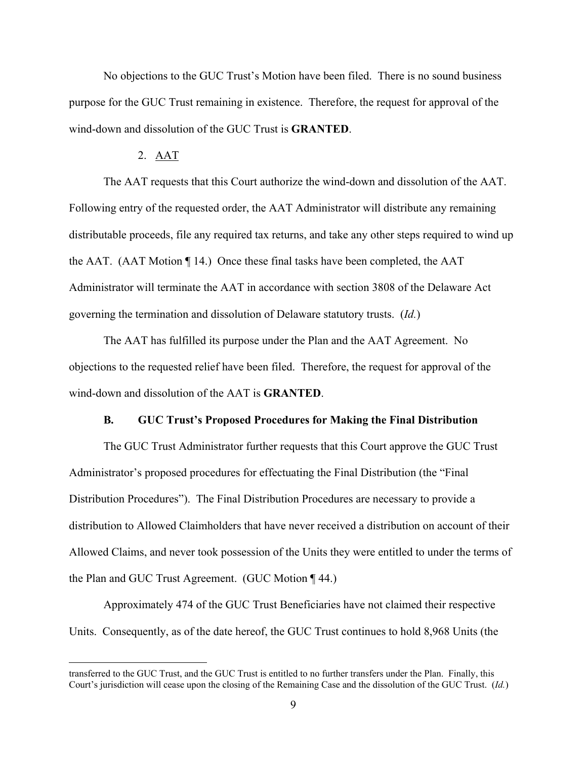No objections to the GUC Trust's Motion have been filed. There is no sound business purpose for the GUC Trust remaining in existence. Therefore, the request for approval of the wind-down and dissolution of the GUC Trust is **GRANTED**.

### 2. AAT

The AAT requests that this Court authorize the wind-down and dissolution of the AAT. Following entry of the requested order, the AAT Administrator will distribute any remaining distributable proceeds, file any required tax returns, and take any other steps required to wind up the AAT. (AAT Motion ¶ 14.) Once these final tasks have been completed, the AAT Administrator will terminate the AAT in accordance with section 3808 of the Delaware Act governing the termination and dissolution of Delaware statutory trusts. (*Id.*)

The AAT has fulfilled its purpose under the Plan and the AAT Agreement. No objections to the requested relief have been filed. Therefore, the request for approval of the wind-down and dissolution of the AAT is **GRANTED**.

#### **B. GUC Trust's Proposed Procedures for Making the Final Distribution**

The GUC Trust Administrator further requests that this Court approve the GUC Trust Administrator's proposed procedures for effectuating the Final Distribution (the "Final Distribution Procedures"). The Final Distribution Procedures are necessary to provide a distribution to Allowed Claimholders that have never received a distribution on account of their Allowed Claims, and never took possession of the Units they were entitled to under the terms of the Plan and GUC Trust Agreement. (GUC Motion ¶ 44.)

Approximately 474 of the GUC Trust Beneficiaries have not claimed their respective Units. Consequently, as of the date hereof, the GUC Trust continues to hold 8,968 Units (the

transferred to the GUC Trust, and the GUC Trust is entitled to no further transfers under the Plan. Finally, this Court's jurisdiction will cease upon the closing of the Remaining Case and the dissolution of the GUC Trust. (*Id.*)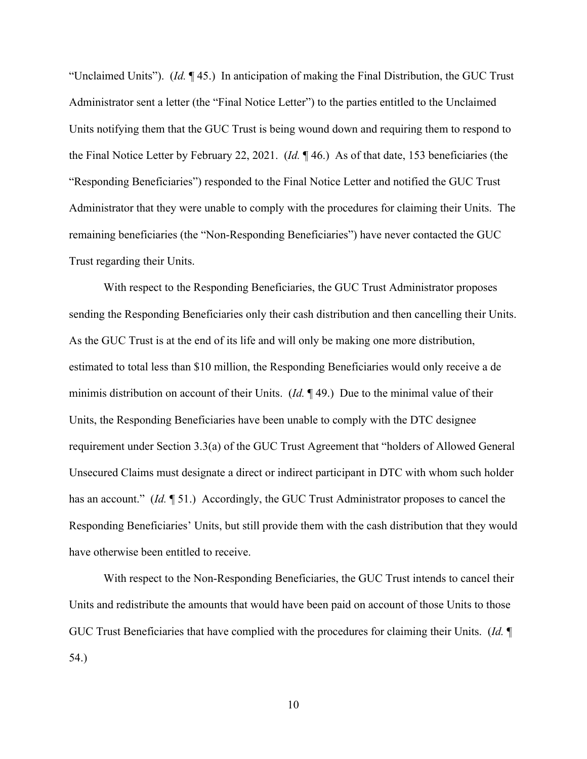"Unclaimed Units"). (*Id.* ¶ 45.) In anticipation of making the Final Distribution, the GUC Trust Administrator sent a letter (the "Final Notice Letter") to the parties entitled to the Unclaimed Units notifying them that the GUC Trust is being wound down and requiring them to respond to the Final Notice Letter by February 22, 2021. (*Id.* ¶ 46.) As of that date, 153 beneficiaries (the "Responding Beneficiaries") responded to the Final Notice Letter and notified the GUC Trust Administrator that they were unable to comply with the procedures for claiming their Units. The remaining beneficiaries (the "Non-Responding Beneficiaries") have never contacted the GUC Trust regarding their Units.

With respect to the Responding Beneficiaries, the GUC Trust Administrator proposes sending the Responding Beneficiaries only their cash distribution and then cancelling their Units. As the GUC Trust is at the end of its life and will only be making one more distribution, estimated to total less than \$10 million, the Responding Beneficiaries would only receive a de minimis distribution on account of their Units. (*Id.* ¶ 49.) Due to the minimal value of their Units, the Responding Beneficiaries have been unable to comply with the DTC designee requirement under Section 3.3(a) of the GUC Trust Agreement that "holders of Allowed General Unsecured Claims must designate a direct or indirect participant in DTC with whom such holder has an account." (*Id.* ¶ 51.) Accordingly, the GUC Trust Administrator proposes to cancel the Responding Beneficiaries' Units, but still provide them with the cash distribution that they would have otherwise been entitled to receive.

With respect to the Non-Responding Beneficiaries, the GUC Trust intends to cancel their Units and redistribute the amounts that would have been paid on account of those Units to those GUC Trust Beneficiaries that have complied with the procedures for claiming their Units. (*Id.* ¶ 54.)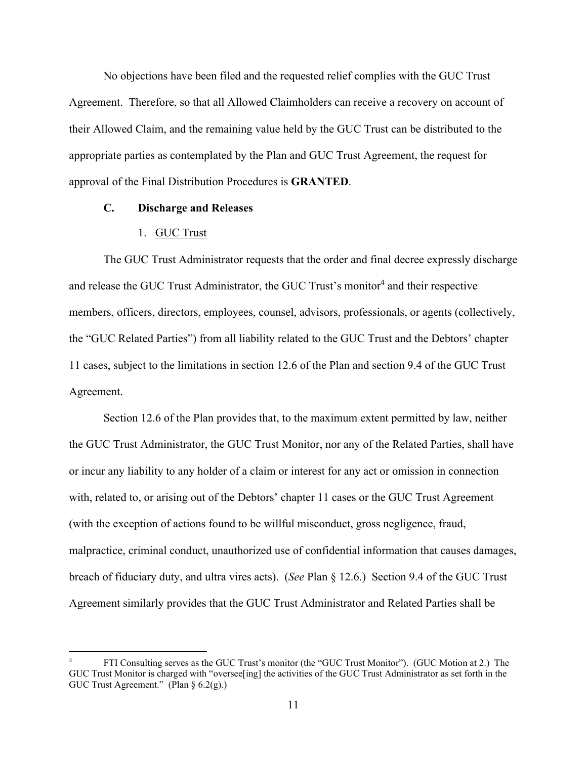No objections have been filed and the requested relief complies with the GUC Trust Agreement. Therefore, so that all Allowed Claimholders can receive a recovery on account of their Allowed Claim, and the remaining value held by the GUC Trust can be distributed to the appropriate parties as contemplated by the Plan and GUC Trust Agreement, the request for approval of the Final Distribution Procedures is **GRANTED**.

# **C. Discharge and Releases**

# 1. GUC Trust

The GUC Trust Administrator requests that the order and final decree expressly discharge and release the GUC Trust Administrator, the GUC Trust's monitor<sup>4</sup> and their respective members, officers, directors, employees, counsel, advisors, professionals, or agents (collectively, the "GUC Related Parties") from all liability related to the GUC Trust and the Debtors' chapter 11 cases, subject to the limitations in section 12.6 of the Plan and section 9.4 of the GUC Trust Agreement.

Section 12.6 of the Plan provides that, to the maximum extent permitted by law, neither the GUC Trust Administrator, the GUC Trust Monitor, nor any of the Related Parties, shall have or incur any liability to any holder of a claim or interest for any act or omission in connection with, related to, or arising out of the Debtors' chapter 11 cases or the GUC Trust Agreement (with the exception of actions found to be willful misconduct, gross negligence, fraud, malpractice, criminal conduct, unauthorized use of confidential information that causes damages, breach of fiduciary duty, and ultra vires acts). (*See* Plan § 12.6.) Section 9.4 of the GUC Trust Agreement similarly provides that the GUC Trust Administrator and Related Parties shall be

<sup>4</sup> FTI Consulting serves as the GUC Trust's monitor (the "GUC Trust Monitor"). (GUC Motion at 2.) The GUC Trust Monitor is charged with "oversee[ing] the activities of the GUC Trust Administrator as set forth in the GUC Trust Agreement." (Plan § 6.2(g).)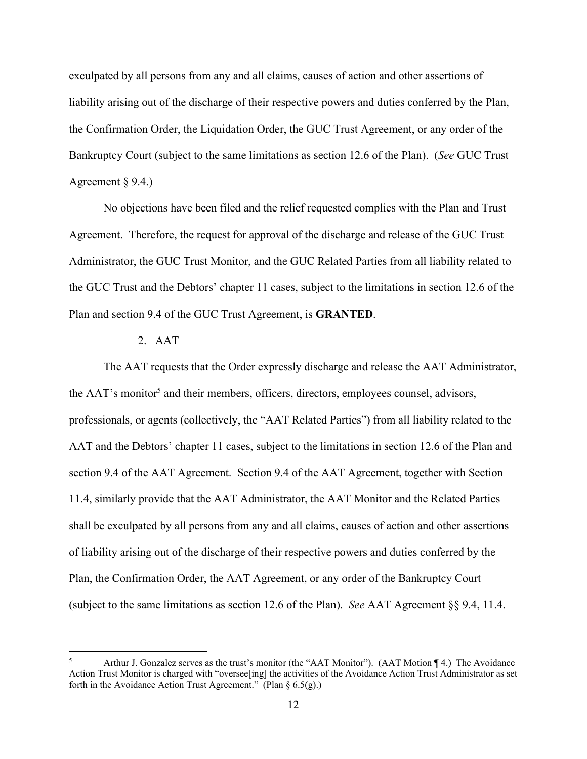exculpated by all persons from any and all claims, causes of action and other assertions of liability arising out of the discharge of their respective powers and duties conferred by the Plan, the Confirmation Order, the Liquidation Order, the GUC Trust Agreement, or any order of the Bankruptcy Court (subject to the same limitations as section 12.6 of the Plan). (*See* GUC Trust Agreement § 9.4.)

No objections have been filed and the relief requested complies with the Plan and Trust Agreement. Therefore, the request for approval of the discharge and release of the GUC Trust Administrator, the GUC Trust Monitor, and the GUC Related Parties from all liability related to the GUC Trust and the Debtors' chapter 11 cases, subject to the limitations in section 12.6 of the Plan and section 9.4 of the GUC Trust Agreement, is **GRANTED**.

# 2. AAT

The AAT requests that the Order expressly discharge and release the AAT Administrator, the AAT's monitor<sup>5</sup> and their members, officers, directors, employees counsel, advisors, professionals, or agents (collectively, the "AAT Related Parties") from all liability related to the AAT and the Debtors' chapter 11 cases, subject to the limitations in section 12.6 of the Plan and section 9.4 of the AAT Agreement. Section 9.4 of the AAT Agreement, together with Section 11.4, similarly provide that the AAT Administrator, the AAT Monitor and the Related Parties shall be exculpated by all persons from any and all claims, causes of action and other assertions of liability arising out of the discharge of their respective powers and duties conferred by the Plan, the Confirmation Order, the AAT Agreement, or any order of the Bankruptcy Court (subject to the same limitations as section 12.6 of the Plan). *See* AAT Agreement §§ 9.4, 11.4.

<sup>5</sup> Arthur J. Gonzalez serves as the trust's monitor (the "AAT Monitor"). (AAT Motion ¶ 4.) The Avoidance Action Trust Monitor is charged with "oversee[ing] the activities of the Avoidance Action Trust Administrator as set forth in the Avoidance Action Trust Agreement." (Plan § 6.5(g).)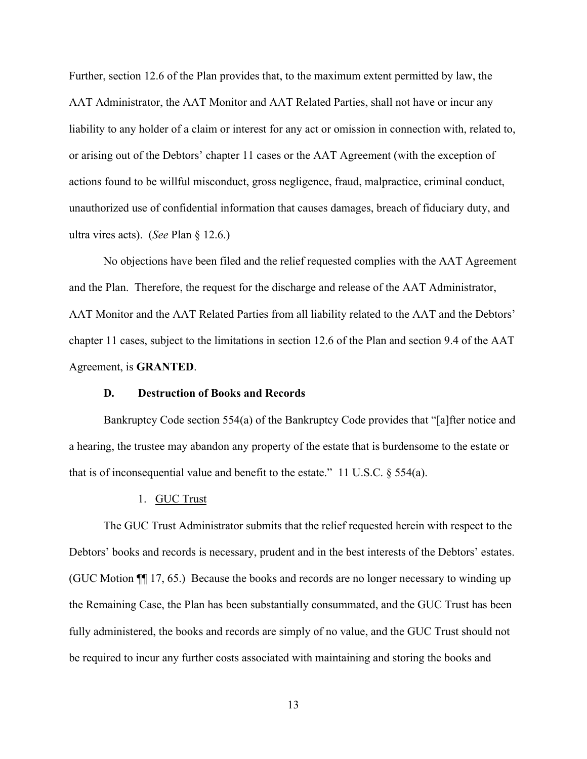Further, section 12.6 of the Plan provides that, to the maximum extent permitted by law, the AAT Administrator, the AAT Monitor and AAT Related Parties, shall not have or incur any liability to any holder of a claim or interest for any act or omission in connection with, related to, or arising out of the Debtors' chapter 11 cases or the AAT Agreement (with the exception of actions found to be willful misconduct, gross negligence, fraud, malpractice, criminal conduct, unauthorized use of confidential information that causes damages, breach of fiduciary duty, and ultra vires acts). (*See* Plan § 12.6.)

No objections have been filed and the relief requested complies with the AAT Agreement and the Plan. Therefore, the request for the discharge and release of the AAT Administrator, AAT Monitor and the AAT Related Parties from all liability related to the AAT and the Debtors' chapter 11 cases, subject to the limitations in section 12.6 of the Plan and section 9.4 of the AAT Agreement, is **GRANTED**.

### **D. Destruction of Books and Records**

Bankruptcy Code section 554(a) of the Bankruptcy Code provides that "[a]fter notice and a hearing, the trustee may abandon any property of the estate that is burdensome to the estate or that is of inconsequential value and benefit to the estate." 11 U.S.C.  $\S$  554(a).

#### 1. GUC Trust

The GUC Trust Administrator submits that the relief requested herein with respect to the Debtors' books and records is necessary, prudent and in the best interests of the Debtors' estates. (GUC Motion ¶¶ 17, 65.) Because the books and records are no longer necessary to winding up the Remaining Case, the Plan has been substantially consummated, and the GUC Trust has been fully administered, the books and records are simply of no value, and the GUC Trust should not be required to incur any further costs associated with maintaining and storing the books and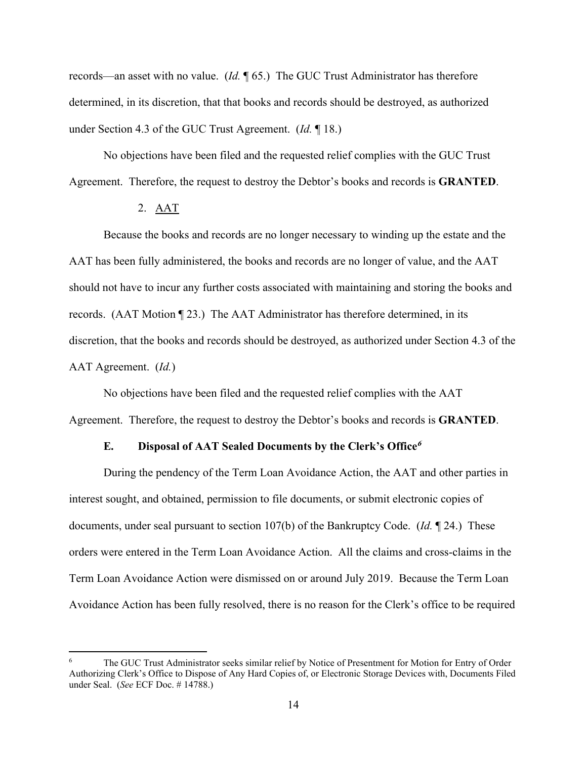records—an asset with no value. (*Id.* ¶ 65.) The GUC Trust Administrator has therefore determined, in its discretion, that that books and records should be destroyed, as authorized under Section 4.3 of the GUC Trust Agreement. (*Id.* ¶ 18.)

No objections have been filed and the requested relief complies with the GUC Trust Agreement. Therefore, the request to destroy the Debtor's books and records is **GRANTED**.

# 2. AAT

Because the books and records are no longer necessary to winding up the estate and the AAT has been fully administered, the books and records are no longer of value, and the AAT should not have to incur any further costs associated with maintaining and storing the books and records. (AAT Motion ¶ 23.) The AAT Administrator has therefore determined, in its discretion, that the books and records should be destroyed, as authorized under Section 4.3 of the AAT Agreement. (*Id.*)

No objections have been filed and the requested relief complies with the AAT Agreement. Therefore, the request to destroy the Debtor's books and records is **GRANTED**.

### **E. Disposal of AAT Sealed Documents by the Clerk's Office<sup>6</sup>**

During the pendency of the Term Loan Avoidance Action, the AAT and other parties in interest sought, and obtained, permission to file documents, or submit electronic copies of documents, under seal pursuant to section 107(b) of the Bankruptcy Code. (*Id.* ¶ 24.) These orders were entered in the Term Loan Avoidance Action. All the claims and cross-claims in the Term Loan Avoidance Action were dismissed on or around July 2019. Because the Term Loan Avoidance Action has been fully resolved, there is no reason for the Clerk's office to be required

<sup>6</sup> The GUC Trust Administrator seeks similar relief by Notice of Presentment for Motion for Entry of Order Authorizing Clerk's Office to Dispose of Any Hard Copies of, or Electronic Storage Devices with, Documents Filed under Seal. (*See* ECF Doc. # 14788.)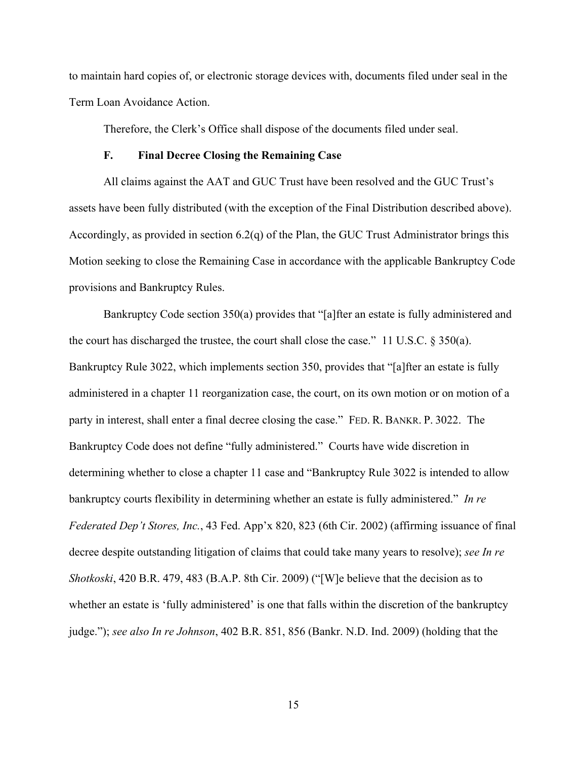to maintain hard copies of, or electronic storage devices with, documents filed under seal in the Term Loan Avoidance Action.

Therefore, the Clerk's Office shall dispose of the documents filed under seal.

### **F. Final Decree Closing the Remaining Case**

All claims against the AAT and GUC Trust have been resolved and the GUC Trust's assets have been fully distributed (with the exception of the Final Distribution described above). Accordingly, as provided in section 6.2(q) of the Plan, the GUC Trust Administrator brings this Motion seeking to close the Remaining Case in accordance with the applicable Bankruptcy Code provisions and Bankruptcy Rules.

Bankruptcy Code section 350(a) provides that "[a]fter an estate is fully administered and the court has discharged the trustee, the court shall close the case." 11 U.S.C. § 350(a). Bankruptcy Rule 3022, which implements section 350, provides that "[a]fter an estate is fully administered in a chapter 11 reorganization case, the court, on its own motion or on motion of a party in interest, shall enter a final decree closing the case." FED. R. BANKR. P. 3022. The Bankruptcy Code does not define "fully administered." Courts have wide discretion in determining whether to close a chapter 11 case and "Bankruptcy Rule 3022 is intended to allow bankruptcy courts flexibility in determining whether an estate is fully administered." *In re Federated Dep't Stores, Inc.*, 43 Fed. App'x 820, 823 (6th Cir. 2002) (affirming issuance of final decree despite outstanding litigation of claims that could take many years to resolve); *see In re Shotkoski*, 420 B.R. 479, 483 (B.A.P. 8th Cir. 2009) ("[W]e believe that the decision as to whether an estate is 'fully administered' is one that falls within the discretion of the bankruptcy judge."); *see also In re Johnson*, 402 B.R. 851, 856 (Bankr. N.D. Ind. 2009) (holding that the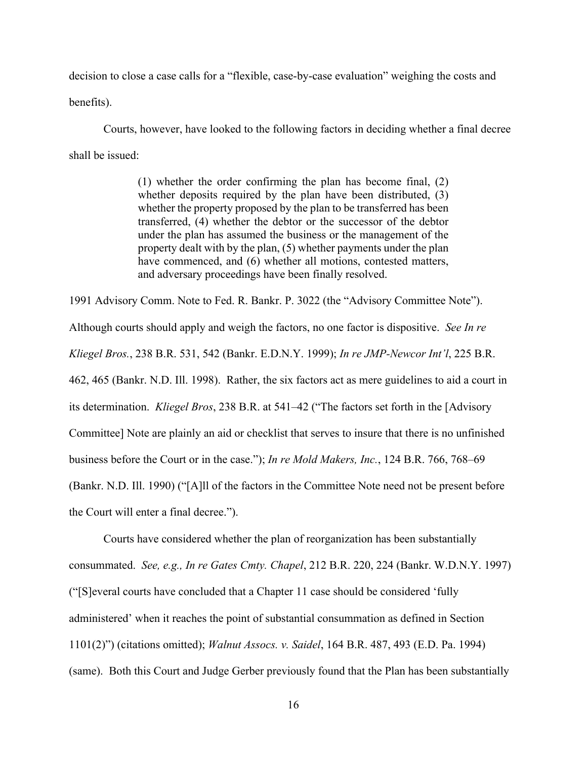decision to close a case calls for a "flexible, case-by-case evaluation" weighing the costs and

benefits).

Courts, however, have looked to the following factors in deciding whether a final decree shall be issued:

> (1) whether the order confirming the plan has become final, (2) whether deposits required by the plan have been distributed, (3) whether the property proposed by the plan to be transferred has been transferred, (4) whether the debtor or the successor of the debtor under the plan has assumed the business or the management of the property dealt with by the plan, (5) whether payments under the plan have commenced, and (6) whether all motions, contested matters, and adversary proceedings have been finally resolved.

1991 Advisory Comm. Note to Fed. R. Bankr. P. 3022 (the "Advisory Committee Note"). Although courts should apply and weigh the factors, no one factor is dispositive. *See In re Kliegel Bros.*, 238 B.R. 531, 542 (Bankr. E.D.N.Y. 1999); *In re JMP-Newcor Int'l*, 225 B.R. 462, 465 (Bankr. N.D. Ill. 1998). Rather, the six factors act as mere guidelines to aid a court in its determination. *Kliegel Bros*, 238 B.R. at 541–42 ("The factors set forth in the [Advisory Committee] Note are plainly an aid or checklist that serves to insure that there is no unfinished business before the Court or in the case."); *In re Mold Makers, Inc.*, 124 B.R. 766, 768–69 (Bankr. N.D. Ill. 1990) ("[A]ll of the factors in the Committee Note need not be present before the Court will enter a final decree.").

Courts have considered whether the plan of reorganization has been substantially consummated. *See, e.g., In re Gates Cmty. Chapel*, 212 B.R. 220, 224 (Bankr. W.D.N.Y. 1997) ("[S]everal courts have concluded that a Chapter 11 case should be considered 'fully administered' when it reaches the point of substantial consummation as defined in Section 1101(2)") (citations omitted); *Walnut Assocs. v. Saidel*, 164 B.R. 487, 493 (E.D. Pa. 1994) (same). Both this Court and Judge Gerber previously found that the Plan has been substantially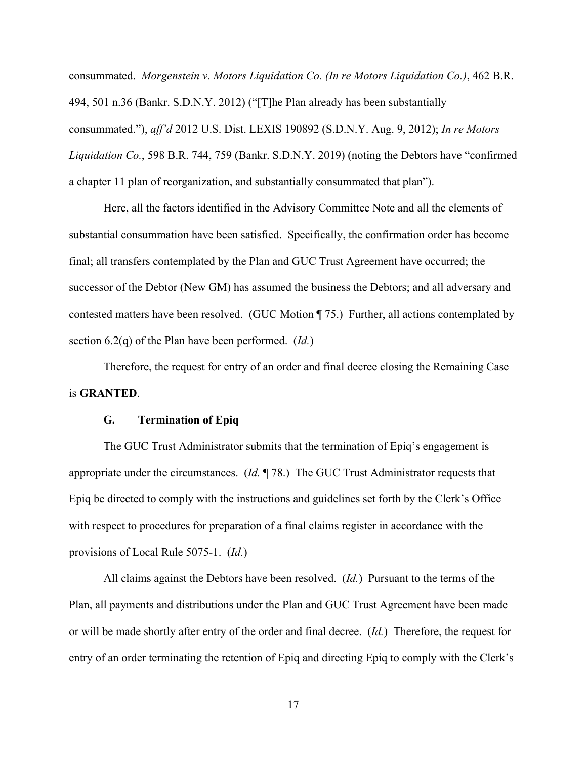consummated. *Morgenstein v. Motors Liquidation Co. (In re Motors Liquidation Co.)*, 462 B.R. 494, 501 n.36 (Bankr. S.D.N.Y. 2012) ("[T]he Plan already has been substantially consummated."), *aff'd* 2012 U.S. Dist. LEXIS 190892 (S.D.N.Y. Aug. 9, 2012); *In re Motors Liquidation Co.*, 598 B.R. 744, 759 (Bankr. S.D.N.Y. 2019) (noting the Debtors have "confirmed a chapter 11 plan of reorganization, and substantially consummated that plan").

Here, all the factors identified in the Advisory Committee Note and all the elements of substantial consummation have been satisfied. Specifically, the confirmation order has become final; all transfers contemplated by the Plan and GUC Trust Agreement have occurred; the successor of the Debtor (New GM) has assumed the business the Debtors; and all adversary and contested matters have been resolved. (GUC Motion ¶ 75.) Further, all actions contemplated by section 6.2(q) of the Plan have been performed. (*Id.*)

Therefore, the request for entry of an order and final decree closing the Remaining Case is **GRANTED**.

### **G. Termination of Epiq**

The GUC Trust Administrator submits that the termination of Epiq's engagement is appropriate under the circumstances. (*Id.* ¶ 78.) The GUC Trust Administrator requests that Epiq be directed to comply with the instructions and guidelines set forth by the Clerk's Office with respect to procedures for preparation of a final claims register in accordance with the provisions of Local Rule 5075-1. (*Id.*)

All claims against the Debtors have been resolved. (*Id.*) Pursuant to the terms of the Plan, all payments and distributions under the Plan and GUC Trust Agreement have been made or will be made shortly after entry of the order and final decree. (*Id.*) Therefore, the request for entry of an order terminating the retention of Epiq and directing Epiq to comply with the Clerk's